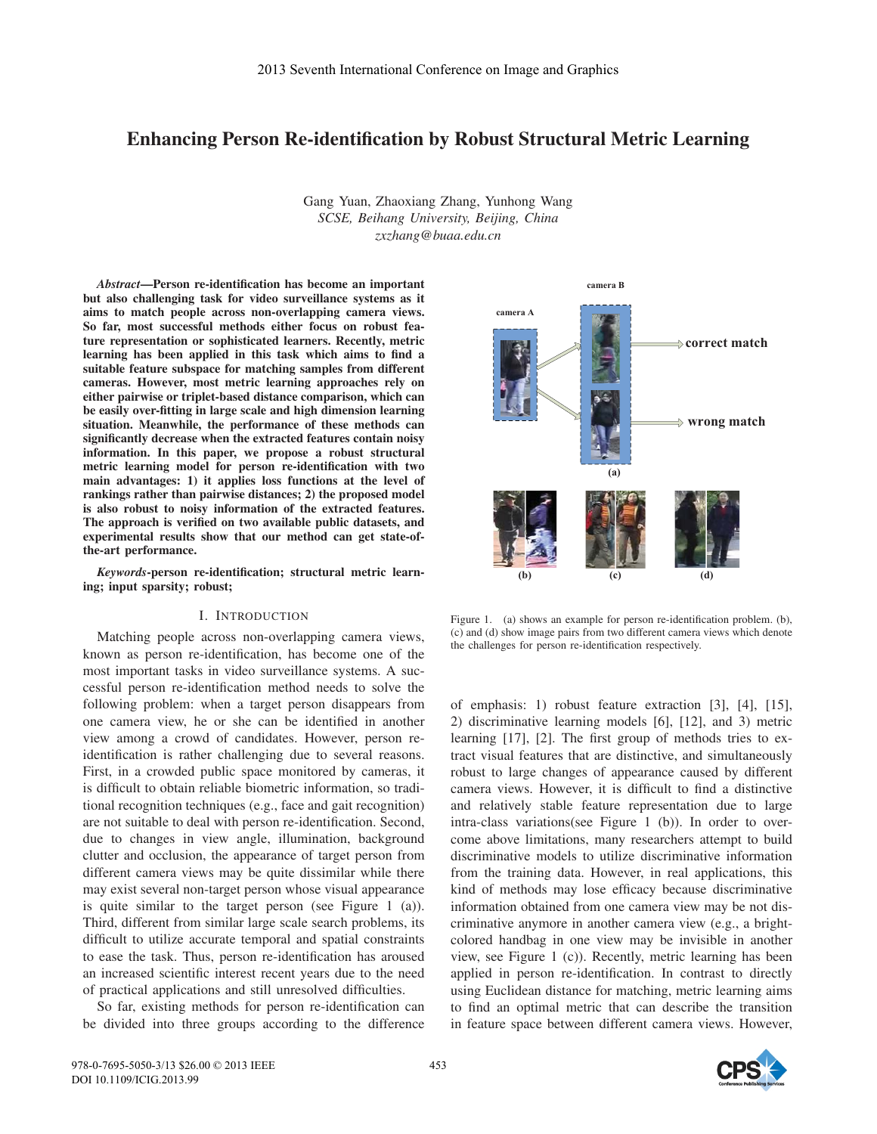# Enhancing Person Re-identification by Robust Structural Metric Learning

Gang Yuan, Zhaoxiang Zhang, Yunhong Wang *SCSE, Beihang University, Beijing, China zxzhang@buaa.edu.cn*

*Abstract*—Person re-identification has become an important but also challenging task for video surveillance systems as it aims to match people across non-overlapping camera views. So far, most successful methods either focus on robust feature representation or sophisticated learners. Recently, metric learning has been applied in this task which aims to find a suitable feature subspace for matching samples from different cameras. However, most metric learning approaches rely on either pairwise or triplet-based distance comparison, which can be easily over-fitting in large scale and high dimension learning situation. Meanwhile, the performance of these methods can significantly decrease when the extracted features contain noisy information. In this paper, we propose a robust structural metric learning model for person re-identification with two main advantages: 1) it applies loss functions at the level of rankings rather than pairwise distances; 2) the proposed model is also robust to noisy information of the extracted features. The approach is verified on two available public datasets, and experimental results show that our method can get state-ofthe-art performance.

*Keywords*-person re-identification; structural metric learning; input sparsity; robust;

# I. INTRODUCTION

Matching people across non-overlapping camera views, known as person re-identification, has become one of the most important tasks in video surveillance systems. A successful person re-identification method needs to solve the following problem: when a target person disappears from one camera view, he or she can be identified in another view among a crowd of candidates. However, person reidentification is rather challenging due to several reasons. First, in a crowded public space monitored by cameras, it is difficult to obtain reliable biometric information, so traditional recognition techniques (e.g., face and gait recognition) are not suitable to deal with person re-identification. Second, due to changes in view angle, illumination, background clutter and occlusion, the appearance of target person from different camera views may be quite dissimilar while there may exist several non-target person whose visual appearance is quite similar to the target person (see Figure 1 (a)). Third, different from similar large scale search problems, its difficult to utilize accurate temporal and spatial constraints to ease the task. Thus, person re-identification has aroused an increased scientific interest recent years due to the need of practical applications and still unresolved difficulties.

So far, existing methods for person re-identification can be divided into three groups according to the difference



Figure 1. (a) shows an example for person re-identification problem. (b), (c) and (d) show image pairs from two different camera views which denote the challenges for person re-identification respectively.

of emphasis: 1) robust feature extraction [3], [4], [15], 2) discriminative learning models [6], [12], and 3) metric learning [17], [2]. The first group of methods tries to extract visual features that are distinctive, and simultaneously robust to large changes of appearance caused by different camera views. However, it is difficult to find a distinctive and relatively stable feature representation due to large intra-class variations(see Figure 1 (b)). In order to overcome above limitations, many researchers attempt to build discriminative models to utilize discriminative information from the training data. However, in real applications, this kind of methods may lose efficacy because discriminative information obtained from one camera view may be not discriminative anymore in another camera view (e.g., a brightcolored handbag in one view may be invisible in another view, see Figure 1 (c)). Recently, metric learning has been applied in person re-identification. In contrast to directly using Euclidean distance for matching, metric learning aims to find an optimal metric that can describe the transition in feature space between different camera views. However,

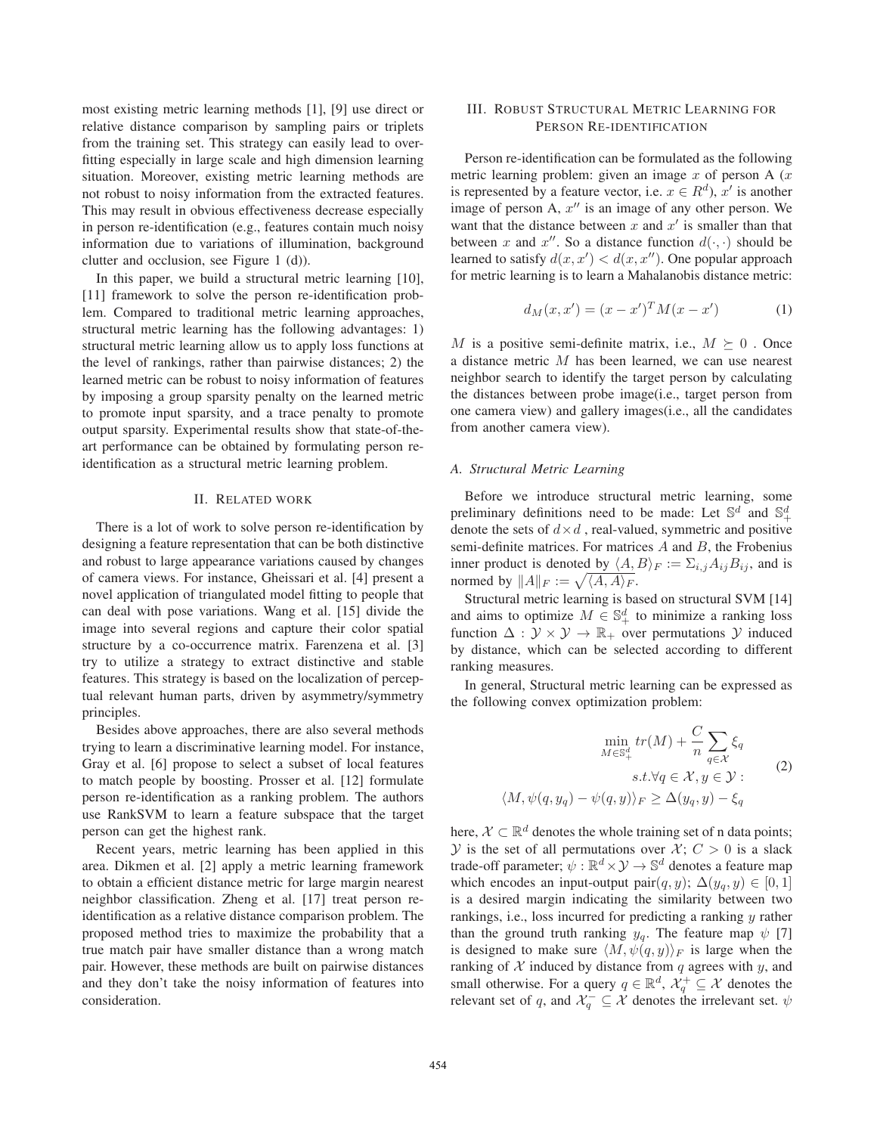most existing metric learning methods [1], [9] use direct or relative distance comparison by sampling pairs or triplets from the training set. This strategy can easily lead to overfitting especially in large scale and high dimension learning situation. Moreover, existing metric learning methods are not robust to noisy information from the extracted features. This may result in obvious effectiveness decrease especially in person re-identification (e.g., features contain much noisy information due to variations of illumination, background clutter and occlusion, see Figure 1 (d)).

In this paper, we build a structural metric learning [10], [11] framework to solve the person re-identification problem. Compared to traditional metric learning approaches, structural metric learning has the following advantages: 1) structural metric learning allow us to apply loss functions at the level of rankings, rather than pairwise distances; 2) the learned metric can be robust to noisy information of features by imposing a group sparsity penalty on the learned metric to promote input sparsity, and a trace penalty to promote output sparsity. Experimental results show that state-of-theart performance can be obtained by formulating person reidentification as a structural metric learning problem.

# II. RELATED WORK

There is a lot of work to solve person re-identification by designing a feature representation that can be both distinctive and robust to large appearance variations caused by changes of camera views. For instance, Gheissari et al. [4] present a novel application of triangulated model fitting to people that can deal with pose variations. Wang et al. [15] divide the image into several regions and capture their color spatial structure by a co-occurrence matrix. Farenzena et al. [3] try to utilize a strategy to extract distinctive and stable features. This strategy is based on the localization of perceptual relevant human parts, driven by asymmetry/symmetry principles.

Besides above approaches, there are also several methods trying to learn a discriminative learning model. For instance, Gray et al. [6] propose to select a subset of local features to match people by boosting. Prosser et al. [12] formulate person re-identification as a ranking problem. The authors use RankSVM to learn a feature subspace that the target person can get the highest rank.

Recent years, metric learning has been applied in this area. Dikmen et al. [2] apply a metric learning framework to obtain a efficient distance metric for large margin nearest neighbor classification. Zheng et al. [17] treat person reidentification as a relative distance comparison problem. The proposed method tries to maximize the probability that a true match pair have smaller distance than a wrong match pair. However, these methods are built on pairwise distances and they don't take the noisy information of features into consideration.

# III. ROBUST STRUCTURAL METRIC LEARNING FOR PERSON RE-IDENTIFICATION

Person re-identification can be formulated as the following metric learning problem: given an image  $x$  of person A  $(x)$ is represented by a feature vector, i.e.  $x \in R^d$ ),  $x'$  is another image of person A,  $x''$  is an image of any other person. We want that the distance between x and  $x'$  is smaller than that between x and x''. So a distance function  $d(\cdot, \cdot)$  should be learned to satisfy  $d(x, x') < d(x, x'')$ . One popular approach for metric learning is to learn a Mahalanobis distance metric:

$$
d_M(x, x') = (x - x')^T M (x - x')
$$
 (1)

M is a positive semi-definite matrix, i.e.,  $M \succeq 0$ . Once a distance metric M has been learned, we can use nearest neighbor search to identify the target person by calculating the distances between probe image(i.e., target person from one camera view) and gallery images(i.e., all the candidates from another camera view).

#### *A. Structural Metric Learning*

Before we introduce structural metric learning, some preliminary definitions need to be made: Let  $\mathbb{S}^d$  and  $\mathbb{S}^d_+$ denote the sets of  $d \times d$ , real-valued, symmetric and positive semi-definite matrices. For matrices  $A$  and  $B$ , the Frobenius inner product is denoted by  $\langle A, B \rangle_F := \sum_{i,j} A_{ij} B_{ij}$ , and is normed by  $||A||_F := \sqrt{\langle A, A \rangle_F}$ .

Structural metric learning is based on structural SVM [14] and aims to optimize  $M \in \mathbb{S}^d_+$  to minimize a ranking loss function  $\Delta : \mathcal{Y} \times \mathcal{Y} \to \mathbb{R}_+$  over permutations  $\mathcal{Y}$  induced by distance, which can be selected according to different ranking measures.

In general, Structural metric learning can be expressed as the following convex optimization problem:

$$
\min_{M \in \mathbb{S}_+^d} tr(M) + \frac{C}{n} \sum_{q \in \mathcal{X}} \xi_q
$$
  
s.t.  $\forall q \in \mathcal{X}, y \in \mathcal{Y}$ :  

$$
\langle M, \psi(q, y_q) - \psi(q, y) \rangle_F \ge \Delta(y_q, y) - \xi_q
$$
 (2)

here,  $\mathcal{X} \subset \mathbb{R}^d$  denotes the whole training set of n data points;  $Y$  is the set of all permutations over  $X$ ;  $C > 0$  is a slack trade-off parameter;  $\psi : \mathbb{R}^d \times \mathcal{Y} \to \mathbb{S}^d$  denotes a feature map which encodes an input-output pair $(q, y)$ ;  $\Delta(y_q, y) \in [0, 1]$ is a desired margin indicating the similarity between two rankings, i.e., loss incurred for predicting a ranking y rather than the ground truth ranking  $y_q$ . The feature map  $\psi$  [7] is designed to make sure  $\langle M, \psi(q, y) \rangle_F$  is large when the ranking of  $X$  induced by distance from  $q$  agrees with  $y$ , and small otherwise. For a query  $q \in \mathbb{R}^d$ ,  $\mathcal{X}_q^+ \subseteq \mathcal{X}$  denotes the relevant set of q, and  $\mathcal{X}_q^- \subseteq \mathcal{X}$  denotes the irrelevant set.  $\psi$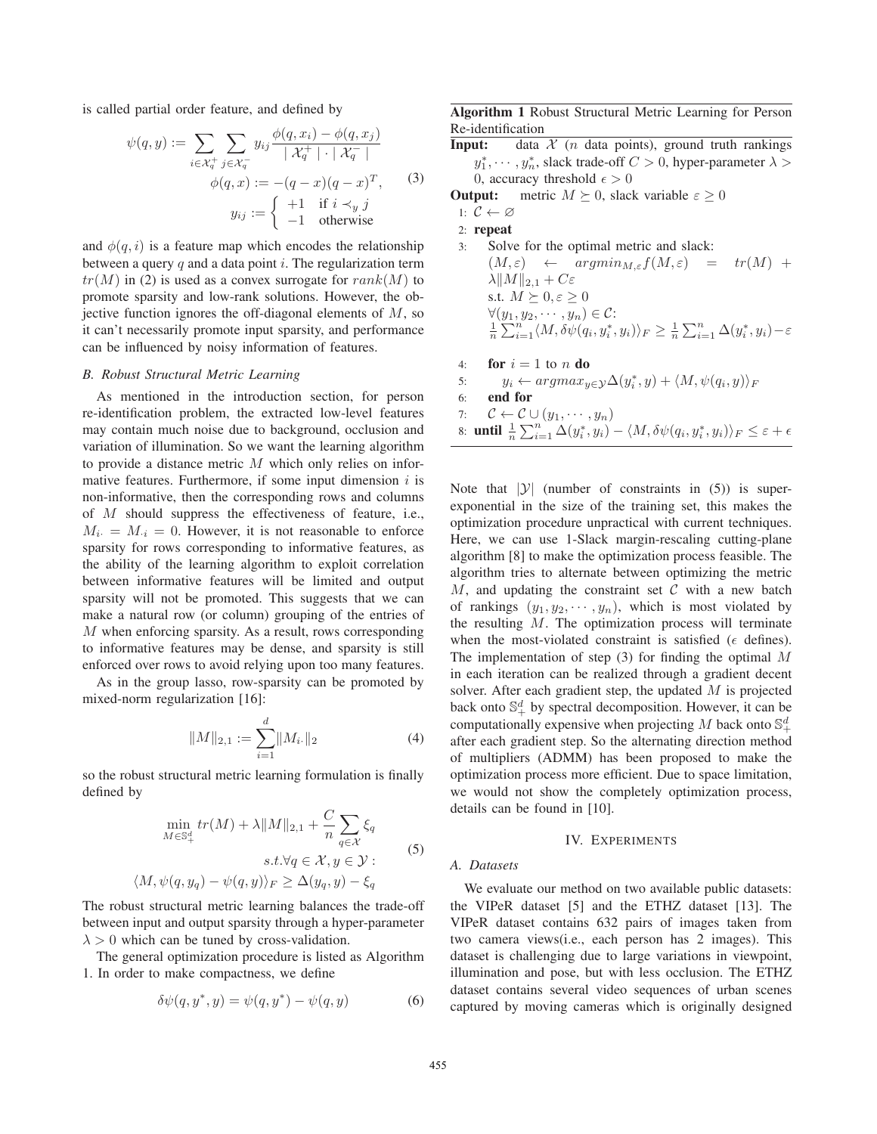is called partial order feature, and defined by

$$
\psi(q, y) := \sum_{i \in \mathcal{X}_q^+} \sum_{j \in \mathcal{X}_q^-} y_{ij} \frac{\phi(q, x_i) - \phi(q, x_j)}{|\mathcal{X}_q^+| \cdot |\mathcal{X}_q^-|}
$$

$$
\phi(q, x) := -(q - x)(q - x)^T,
$$
(3)
$$
y_{ij} := \begin{cases} +1 & \text{if } i \prec_y j \\ -1 & \text{otherwise} \end{cases}
$$

and  $\phi(q, i)$  is a feature map which encodes the relationship between a query  $q$  and a data point  $i$ . The regularization term  $tr(M)$  in (2) is used as a convex surrogate for  $rank(M)$  to promote sparsity and low-rank solutions. However, the objective function ignores the off-diagonal elements of  $M$ , so it can't necessarily promote input sparsity, and performance can be influenced by noisy information of features.

## *B. Robust Structural Metric Learning*

As mentioned in the introduction section, for person re-identification problem, the extracted low-level features may contain much noise due to background, occlusion and variation of illumination. So we want the learning algorithm to provide a distance metric M which only relies on informative features. Furthermore, if some input dimension  $i$  is non-informative, then the corresponding rows and columns of M should suppress the effectiveness of feature, i.e.,  $M_i = M_{i} = 0$ . However, it is not reasonable to enforce sparsity for rows corresponding to informative features, as the ability of the learning algorithm to exploit correlation between informative features will be limited and output sparsity will not be promoted. This suggests that we can make a natural row (or column) grouping of the entries of M when enforcing sparsity. As a result, rows corresponding to informative features may be dense, and sparsity is still enforced over rows to avoid relying upon too many features.

As in the group lasso, row-sparsity can be promoted by mixed-norm regularization [16]:

$$
||M||_{2,1} := \sum_{i=1}^{d} ||M_{i\cdot}||_{2}
$$
 (4)

so the robust structural metric learning formulation is finally defined by

$$
\min_{M \in \mathbb{S}_+^d} tr(M) + \lambda \|M\|_{2,1} + \frac{C}{n} \sum_{q \in \mathcal{X}} \xi_q
$$
  
s.t.  $\forall q \in \mathcal{X}, y \in \mathcal{Y}$ :  

$$
\langle M, \psi(q, y_q) - \psi(q, y) \rangle_F \ge \Delta(y_q, y) - \xi_q
$$
 (5)

The robust structural metric learning balances the trade-off between input and output sparsity through a hyper-parameter  $\lambda > 0$  which can be tuned by cross-validation.

The general optimization procedure is listed as Algorithm 1. In order to make compactness, we define

$$
\delta\psi(q, y^*, y) = \psi(q, y^*) - \psi(q, y) \tag{6}
$$

Algorithm 1 Robust Structural Metric Learning for Person Re-identification

**Input:** data  $\mathcal{X}$  (*n* data points), ground truth rankings  $y_1^*, \cdots, y_n^*$ , slack trade-off  $C > 0$ , hyper-parameter  $\lambda >$ 0, accuracy threshold  $\epsilon > 0$ 

**Output:** metric  $M \succeq 0$ , slack variable  $\varepsilon \geq 0$ 

- 1:  $C \leftarrow \varnothing$
- 2: repeat
- 3: Solve for the optimal metric and slack:  $(M, \varepsilon) \leftarrow \operatorname{argmin}_{M, \varepsilon} f(M, \varepsilon) = tr(M) +$  $\lambda ||M||_{2,1} + C\varepsilon$ s.t.  $M \succeq 0, \varepsilon \geq 0$  $\forall (y_1, y_2, \cdots, y_n) \in \mathcal{C}$ :  $\frac{1}{n}\sum_{i=1}^{n} \langle M, \delta \psi(q_i, y_i^*, y_i) \rangle_F \geq \frac{1}{n}\sum_{i=1}^{n} \Delta(y_i^*, y_i) - \varepsilon$
- 4: for  $i = 1$  to n do
- 5:  $y_i \leftarrow argmax_{y \in \mathcal{Y}} \Delta(y_i^*, y) + \langle M, \psi(q_i, y) \rangle_F$
- 6: end for
- 7:  $\mathcal{C} \leftarrow \mathcal{C} \cup (y_1, \cdots, y_n)$
- 8: **until**  $\frac{1}{n} \sum_{i=1}^{n} \Delta(y_i^*, y_i) \langle M, \delta \psi(q_i, y_i^*, y_i) \rangle_F \leq \varepsilon + \epsilon$

Note that  $|\mathcal{Y}|$  (number of constraints in (5)) is superexponential in the size of the training set, this makes the optimization procedure unpractical with current techniques. Here, we can use 1-Slack margin-rescaling cutting-plane algorithm [8] to make the optimization process feasible. The algorithm tries to alternate between optimizing the metric  $M$ , and updating the constraint set  $C$  with a new batch of rankings  $(y_1, y_2, \dots, y_n)$ , which is most violated by the resulting  $M$ . The optimization process will terminate when the most-violated constraint is satisfied ( $\epsilon$  defines). The implementation of step  $(3)$  for finding the optimal M in each iteration can be realized through a gradient decent solver. After each gradient step, the updated  $M$  is projected back onto  $\mathbb{S}^d_+$  by spectral decomposition. However, it can be computationally expensive when projecting M back onto  $\mathbb{S}^d_+$ after each gradient step. So the alternating direction method of multipliers (ADMM) has been proposed to make the optimization process more efficient. Due to space limitation, we would not show the completely optimization process, details can be found in [10].

## IV. EXPERIMENTS

#### *A. Datasets*

We evaluate our method on two available public datasets: the VIPeR dataset [5] and the ETHZ dataset [13]. The VIPeR dataset contains 632 pairs of images taken from two camera views(i.e., each person has 2 images). This dataset is challenging due to large variations in viewpoint, illumination and pose, but with less occlusion. The ETHZ dataset contains several video sequences of urban scenes captured by moving cameras which is originally designed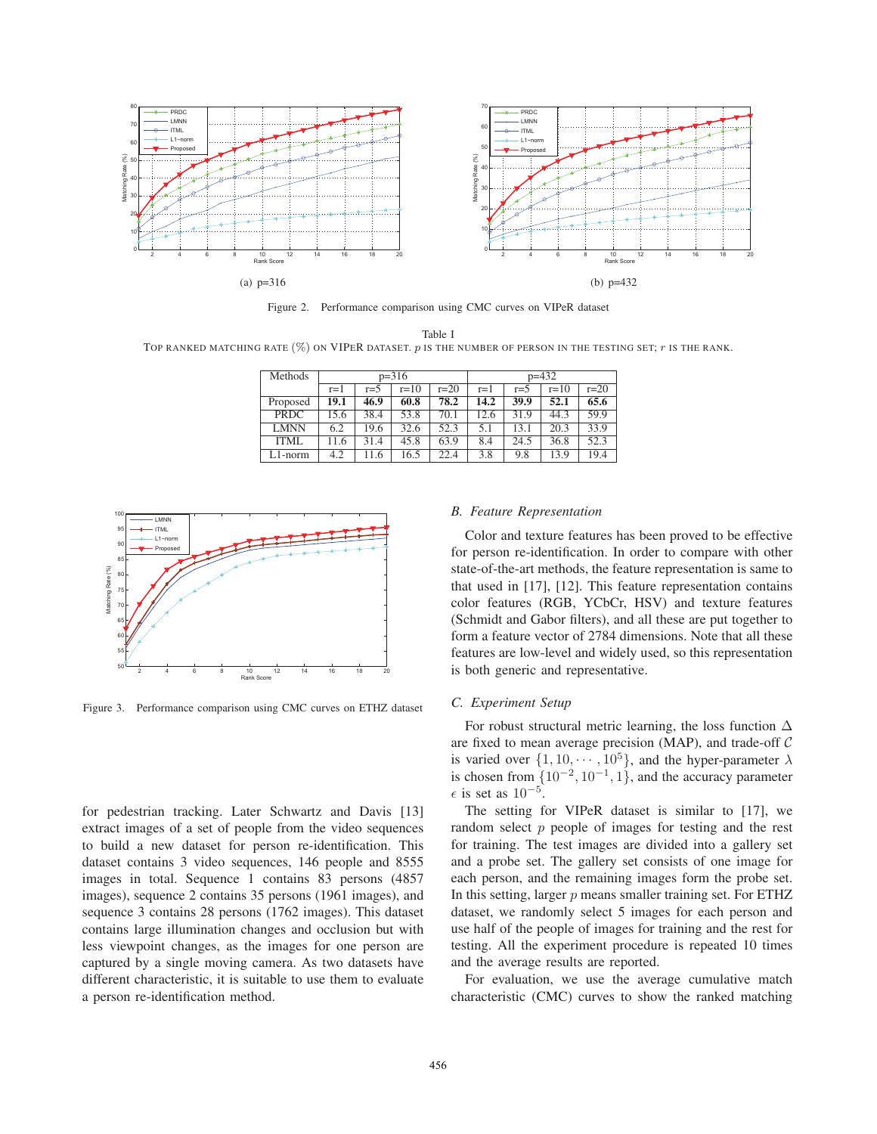

Figure 2. Performance comparison using CMC curves on VIPeR dataset

Table I TOP RANKED MATCHING RATE  $(\%)$  ON VIPER DATASET. p IS THE NUMBER OF PERSON IN THE TESTING SET; r IS THE RANK.

| Methods     | $p=316$ |         |        |        | $p=432$ |       |        |        |
|-------------|---------|---------|--------|--------|---------|-------|--------|--------|
|             | $r=1$   | $r = 5$ | $r=10$ | $r=20$ | $r=1$   | $r=5$ | $r=10$ | $r=20$ |
| Proposed    | 19.1    | 46.9    | 60.8   | 78.2   | 14.2    | 39.9  | 52.1   | 65.6   |
| <b>PRDC</b> | 15.6    | 38.4    | 53.8   | 70.1   | 12.6    | 31.9  | 44.3   | 59.9   |
| <b>LMNN</b> | 6.2     | 19.6    | 32.6   | 52.3   | 5.1     | 13.1  | 20.3   | 33.9   |
| ITML        | 11.6    | 31.4    | 45.8   | 63.9   | 8.4     | 24.5  | 36.8   | 52.3   |
| $L1$ -norm  | 4.2     | 11.6    | 16.5   | 22.4   | 3.8     | 9.8   | 13.9   | 19.4   |



Figure 3. Performance comparison using CMC curves on ETHZ dataset

for pedestrian tracking. Later Schwartz and Davis [13] extract images of a set of people from the video sequences to build a new dataset for person re-identification. This dataset contains 3 video sequences, 146 people and 8555 images in total. Sequence 1 contains 83 persons (4857 images), sequence 2 contains 35 persons (1961 images), and sequence 3 contains 28 persons (1762 images). This dataset contains large illumination changes and occlusion but with less viewpoint changes, as the images for one person are captured by a single moving camera. As two datasets have different characteristic, it is suitable to use them to evaluate a person re-identification method.

# *B. Feature Representation*

Color and texture features has been proved to be effective for person re-identification. In order to compare with other state-of-the-art methods, the feature representation is same to that used in [17], [12]. This feature representation contains color features (RGB, YCbCr, HSV) and texture features (Schmidt and Gabor filters), and all these are put together to form a feature vector of 2784 dimensions. Note that all these features are low-level and widely used, so this representation is both generic and representative.

#### *C. Experiment Setup*

For robust structural metric learning, the loss function  $\Delta$ are fixed to mean average precision (MAP), and trade-off C is varied over  $\{1, 10, \dots, 10^5\}$ , and the hyper-parameter  $\lambda$ is chosen from  $\{10^{-2}, 10^{-1}, 1\}$ , and the accuracy parameter  $\epsilon$  is set as 10<sup>-5</sup>.

The setting for VIPeR dataset is similar to [17], we random select  $p$  people of images for testing and the rest for training. The test images are divided into a gallery set and a probe set. The gallery set consists of one image for each person, and the remaining images form the probe set. In this setting, larger  $p$  means smaller training set. For ETHZ dataset, we randomly select 5 images for each person and use half of the people of images for training and the rest for testing. All the experiment procedure is repeated 10 times and the average results are reported.

For evaluation, we use the average cumulative match characteristic (CMC) curves to show the ranked matching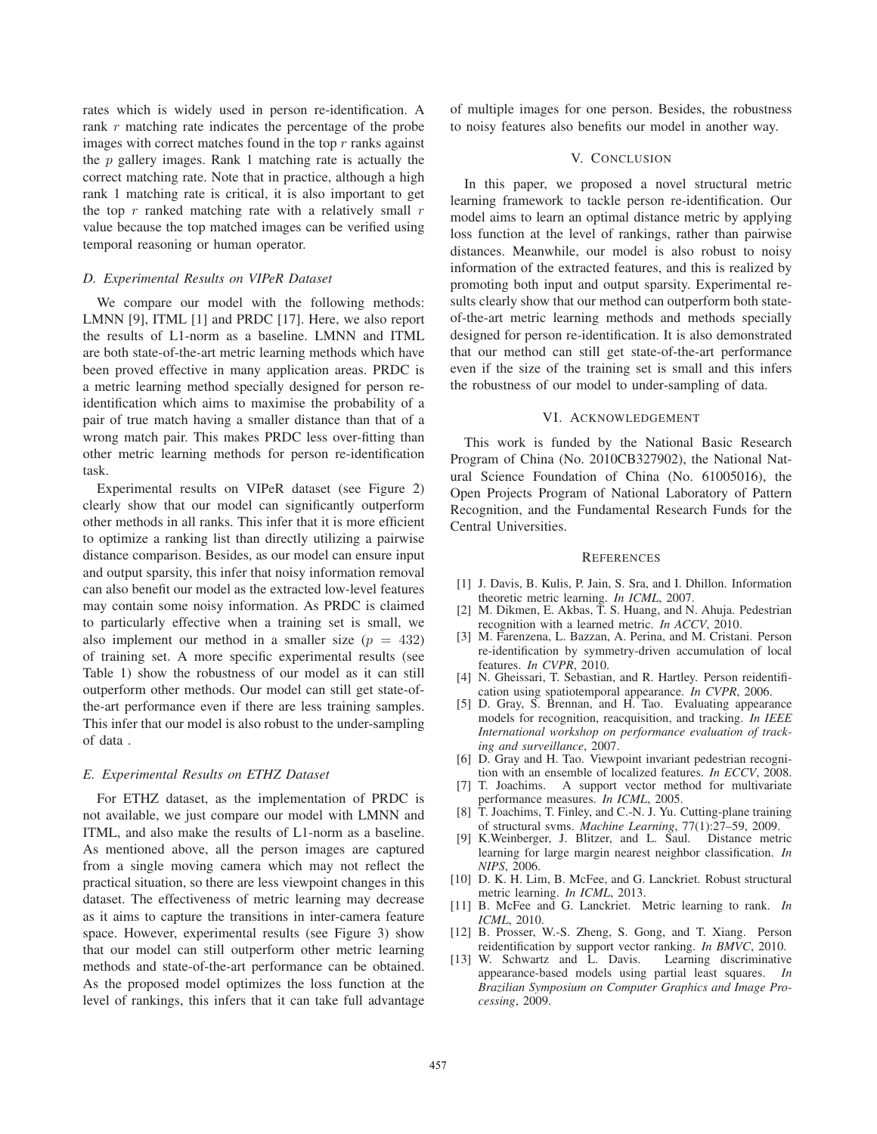rates which is widely used in person re-identification. A rank r matching rate indicates the percentage of the probe images with correct matches found in the top  $r$  ranks against the  $p$  gallery images. Rank 1 matching rate is actually the correct matching rate. Note that in practice, although a high rank 1 matching rate is critical, it is also important to get the top  $r$  ranked matching rate with a relatively small  $r$ value because the top matched images can be verified using temporal reasoning or human operator.

# *D. Experimental Results on VIPeR Dataset*

We compare our model with the following methods: LMNN [9], ITML [1] and PRDC [17]. Here, we also report the results of L1-norm as a baseline. LMNN and ITML are both state-of-the-art metric learning methods which have been proved effective in many application areas. PRDC is a metric learning method specially designed for person reidentification which aims to maximise the probability of a pair of true match having a smaller distance than that of a wrong match pair. This makes PRDC less over-fitting than other metric learning methods for person re-identification task.

Experimental results on VIPeR dataset (see Figure 2) clearly show that our model can significantly outperform other methods in all ranks. This infer that it is more efficient to optimize a ranking list than directly utilizing a pairwise distance comparison. Besides, as our model can ensure input and output sparsity, this infer that noisy information removal can also benefit our model as the extracted low-level features may contain some noisy information. As PRDC is claimed to particularly effective when a training set is small, we also implement our method in a smaller size  $(p = 432)$ of training set. A more specific experimental results (see Table 1) show the robustness of our model as it can still outperform other methods. Our model can still get state-ofthe-art performance even if there are less training samples. This infer that our model is also robust to the under-sampling of data .

#### *E. Experimental Results on ETHZ Dataset*

For ETHZ dataset, as the implementation of PRDC is not available, we just compare our model with LMNN and ITML, and also make the results of L1-norm as a baseline. As mentioned above, all the person images are captured from a single moving camera which may not reflect the practical situation, so there are less viewpoint changes in this dataset. The effectiveness of metric learning may decrease as it aims to capture the transitions in inter-camera feature space. However, experimental results (see Figure 3) show that our model can still outperform other metric learning methods and state-of-the-art performance can be obtained. As the proposed model optimizes the loss function at the level of rankings, this infers that it can take full advantage of multiple images for one person. Besides, the robustness to noisy features also benefits our model in another way.

# V. CONCLUSION

In this paper, we proposed a novel structural metric learning framework to tackle person re-identification. Our model aims to learn an optimal distance metric by applying loss function at the level of rankings, rather than pairwise distances. Meanwhile, our model is also robust to noisy information of the extracted features, and this is realized by promoting both input and output sparsity. Experimental results clearly show that our method can outperform both stateof-the-art metric learning methods and methods specially designed for person re-identification. It is also demonstrated that our method can still get state-of-the-art performance even if the size of the training set is small and this infers the robustness of our model to under-sampling of data.

# VI. ACKNOWLEDGEMENT

This work is funded by the National Basic Research Program of China (No. 2010CB327902), the National Natural Science Foundation of China (No. 61005016), the Open Projects Program of National Laboratory of Pattern Recognition, and the Fundamental Research Funds for the Central Universities.

#### **REFERENCES**

- [1] J. Davis, B. Kulis, P. Jain, S. Sra, and I. Dhillon. Information theoretic metric learning. *In ICML*, 2007.
- [2] M. Dikmen, E. Akbas, T. S. Huang, and N. Ahuja. Pedestrian recognition with a learned metric. *In ACCV*, 2010.
- [3] M. Farenzena, L. Bazzan, A. Perina, and M. Cristani. Person re-identification by symmetry-driven accumulation of local features. *In CVPR*, 2010.
- [4] N. Gheissari, T. Sebastian, and R. Hartley. Person reidentification using spatiotemporal appearance. *In CVPR*, 2006.
- [5] D. Gray, S. Brennan, and H. Tao. Evaluating appearance models for recognition, reacquisition, and tracking. *In IEEE International workshop on performance evaluation of tracking and surveillance*, 2007.
- [6] D. Gray and H. Tao. Viewpoint invariant pedestrian recognition with an ensemble of localized features. *In ECCV*, 2008.
- [7] T. Joachims. A support vector method for multivariate performance measures. *In ICML*, 2005.
- [8] T. Joachims, T. Finley, and C.-N. J. Yu. Cutting-plane training of structural svms. *Machine Learning*, 77(1):27–59, 2009.
- [9] K.Weinberger, J. Blitzer, and L. Saul. Distance metric learning for large margin nearest neighbor classification. *In NIPS*, 2006.
- [10] D. K. H. Lim, B. McFee, and G. Lanckriet. Robust structural metric learning. *In ICML*, 2013.
- [11] B. McFee and G. Lanckriet. Metric learning to rank. *In ICML*, 2010.
- [12] B. Prosser, W.-S. Zheng, S. Gong, and T. Xiang. Person reidentification by support vector ranking. *In BMVC*, 2010.
- $[13]$  W. Schwartz and L. Davis. appearance-based models using partial least squares. *In Brazilian Symposium on Computer Graphics and Image Processing*, 2009.